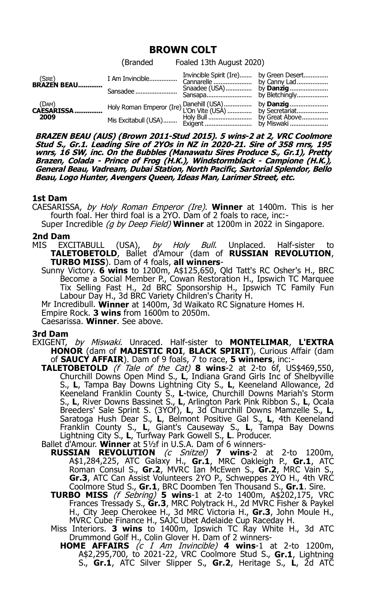# **BROWN COLT**

|                                      | (Branded | Foaled 13th August 2020) |                  |
|--------------------------------------|----------|--------------------------|------------------|
| $(SIRE)$<br><b>BRAZEN BEAU</b>       | Sansadee |                          |                  |
| $(DAM)$<br><b>CAESARISSA</b><br>2009 |          |                          | by <b>Danzig</b> |

**BRAZEN BEAU (AUS) (Brown 2011-Stud 2015). 5 wins-2 at 2, VRC Coolmore Stud S., Gr.1. Leading Sire of 2YOs in NZ in 2020-21. Sire of 358 rnrs, 195 wnrs, 16 SW, inc. On the Bubbles (Manawatu Sires Produce S., Gr.1), Pretty Brazen, Colada - Prince of Frog (H.K.), Windstormblack - Campione (H.K.), General Beau, Vadream, Dubai Station, North Pacific, Sartorial Splendor, Bello Beau, Logo Hunter, Avengers Queen, Ideas Man, Larimer Street, etc.**

## **1st Dam**

CAESARISSA, by Holy Roman Emperor (Ire). **Winner** at 1400m. This is her fourth foal. Her third foal is a 2YO. Dam of 2 foals to race, inc:-

Super Incredible (g by Deep Field) **Winner** at 1200m in 2022 in Singapore.

#### **2nd Dam**

MIS EXCITABULL (USA), by Holy Bull. Unplaced. Half-sister to **TALETOBETOLD**, Ballet d'Amour (dam of **RUSSIAN REVOLUTION**, **TURBO MISS**). Dam of 4 foals, **all winners**-

Sunny Victory. **6 wins** to 1200m, A\$125,650, Qld Tatt's RC Osher's H., BRC Become a Social Member P., Cowan Restoration H., Ipswich TC Marquee Tix Selling Fast H., 2d BRC Sponsorship H., Ipswich TC Family Fun Labour Day H., 3d BRC Variety Children's Charity H.

Mr Incredibull. **Winner** at 1400m, 3d Waikato RC Signature Homes H.

Empire Rock. **3 wins** from 1600m to 2050m.

Caesarissa. **Winner**. See above.

## **3rd Dam**

EXIGENT, by Miswaki. Unraced. Half-sister to **MONTELIMAR**, **L'EXTRA HONOR** (dam of **MAJESTIC ROI**, **BLACK SPIRIT**), Curious Affair (dam of **SAUCY AFFAIR**). Dam of 9 foals, 7 to race, **5 winners**, inc:-

- **TALETOBETOLD** (f Tale of the Cat) **8 wins**-2 at 2-to 6f, US\$469,550, Churchill Downs Open Mind S., **L**, Indiana Grand Girls Inc of Shelbyville S., **L**, Tampa Bay Downs Lightning City S., **L**, Keeneland Allowance, 2d Keeneland Franklin County S., **L**-twice, Churchill Downs Mariah's Storm S., **L**, River Downs Bassinet S., **L**, Arlington Park Pink Ribbon S., **L**, Ocala Breeders' Sale Sprint S. (3YOf), **L**, 3d Churchill Downs Mamzelle S., **L**, Saratoga Hush Dear S., **L**, Belmont Positive Gal S., **L**, 4th Keeneland Franklin County S., **L**, Giant's Causeway S., **L**, Tampa Bay Downs Lightning City S., **L**, Turfway Park Gowell S., **L**. Producer.
- Ballet d'Amour. **Winner** at 5½f in U.S.A. Dam of 6 winners-
	- **RUSSIAN REVOLUTION** (c Snitzel) **7 wins**-2 at 2-to 1200m, A\$1,284,225, ATC Galaxy H., **Gr.1**, MRC Oakleigh P., **Gr.1**, ATC Roman Consul S., **Gr.2**, MVRC Ian McEwen S., **Gr.2**, MRC Vain S., **Gr.3**, ATC Can Assist Volunteers 2YO P., Schweppes 2YO H., 4th VRC Coolmore Stud S., **Gr.1**, BRC Doomben Ten Thousand S., **Gr.1**. Sire.
		- **TURBO MISS** (f Sebring) **5 wins**-1 at 2-to 1400m, A\$202,175, VRC Frances Tressady S., **Gr.3**, MRC Polytrack H., 2d MVRC Fisher & Paykel H., City Jeep Cherokee H., 3d MRC Victoria H., **Gr.3**, John Moule H., MVRC Cube Finance H., SAJC Ubet Adelaide Cup Raceday H.

Miss Interiors. **3 wins** to 1400m, Ipswich TC Ray White H., 3d ATC Drummond Golf H., Colin Glover H. Dam of 2 winners-

**HOME AFFAIRS** (c I Am Invincible) **4 wins**-1 at 2-to 1200m, A\$2,295,700, to 2021-22, VRC Coolmore Stud S., **Gr.1**, Lightning S., **Gr.1**, ATC Silver Slipper S., **Gr.2**, Heritage S., **L**, 2d ATC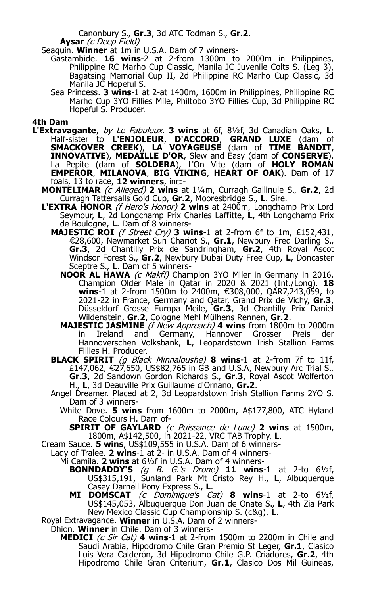Canonbury S., **Gr.3**, 3d ATC Todman S., **Gr.2**. **Aysar** (c Deep Field)

Seaquin. **Winner** at 1m in U.S.A. Dam of 7 winners-

- Gastambide. **16 wins**-2 at 2-from 1300m to 2000m in Philippines, Philippine RC Marho Cup Classic, Manila JC Juvenile Colts S. (Leg 3), Bagatsing Memorial Cup II, 2d Philippine RC Marho Cup Classic, 3d Manila JC Hopeful S.
- Sea Princess. **3 wins**-1 at 2-at 1400m, 1600m in Philippines, Philippine RC Marho Cup 3YO Fillies Mile, Philtobo 3YO Fillies Cup, 3d Philippine RC Hopeful S. Producer.

### **4th Dam**

- **L'Extravagante**, by Le Fabuleux. **3 wins** at 6f, 8½f, 3d Canadian Oaks, **L**. Half-sister to **L'ENJOLEUR**, **D'ACCORD**, **GRAND LUXE** (dam of **SMACKOVER CREEK**), **LA VOYAGEUSE** (dam of **TIME BANDIT**, **INNOVATIVE**), **MEDAILLE D'OR**, Slew and Easy (dam of **CONSERVE**), La Pepite (dam of **SOLDERA**), L'On Vite (dam of **HOLY ROMAN EMPEROR**, **MILANOVA**, **BIG VIKING**, **HEART OF OAK**). Dam of 17 foals, 13 to race, **12 winners**, inc:-
	- **MONTELIMAR** (c Alleged) 2 wins at 1¼m, Curragh Gallinule S., Gr.2, 2d Curragh Tattersalls Gold Cup, **Gr.2**, Mooresbridge S., **L**. Sire.
	- **L'EXTRA HONOR** (f Hero's Honor) **2 wins** at 2400m, Longchamp Prix Lord Seymour, **L**, 2d Longchamp Prix Charles Laffitte, **L**, 4th Longchamp Prix de Boulogne, **L**. Dam of 8 winners-
		- **MAJESTIC ROI** (f Street Cry) **3 wins**-1 at 2-from 6f to 1m, £152,431, €28,600, Newmarket Sun Chariot S., **Gr.1**, Newbury Fred Darling S., **Gr.3**, 2d Chantilly Prix de Sandringham, **Gr.2**, 4th Royal Ascot Windsor Forest S., **Gr.2**, Newbury Dubai Duty Free Cup, **L**, Doncaster Sceptre S., **L**. Dam of 5 winners-
			- **NOOR AL HAWA** (c Makfi) Champion 3YO Miler in Germany in 2016. Champion Older Male in Qatar in 2020 & 2021 (Int./Long). **18 wins**-1 at 2-from 1500m to 2400m, €308,000, OAR7,243,059, to 2021-22 in France, Germany and Qatar, Grand Prix de Vichy, **Gr.3**, Düsseldorf Grosse Europa Meile, **Gr.3**, 3d Chantilly Prix Daniel Wildenstein, **Gr.2**, Cologne Mehl Mülhens Rennen, **Gr.2**.
			- **MAJESTIC JASMINE** (f New Approach) **4 wins** from 1800m to 2000m in Ireland and Germany, Hannover Grosser Preis der Hannoverschen Volksbank, **L**, Leopardstown Irish Stallion Farms Fillies H. Producer.
		- **BLACK SPIRIT** (g Black Minnaloushe) **8 wins**-1 at 2-from 7f to 11f, £147,062, 27,650, US\$82,765 in GB and U.S.A, Newbury Arc Trial S., € **Gr.3**, 2d Sandown Gordon Richards S., **Gr.3**, Royal Ascot Wolferton H., **L**, 3d Deauville Prix Guillaume d'Ornano, **Gr.2**.
		- Angel Dreamer. Placed at 2, 3d Leopardstown Irish Stallion Farms 2YO S. Dam of 3 winners-
			- White Dove. **5 wins** from 1600m to 2000m, A\$177,800, ATC Hyland Race Colours H. Dam of-

**SPIRIT OF GAYLARD** (c Puissance de Lune) **2 wins** at 1500m, 1800m, A\$142,500, in 2021-22, VRC TAB Trophy, **L**.

Cream Sauce. **5 wins**, US\$109,555 in U.S.A. Dam of 6 winners-

Lady of Tralee. **2 wins**-1 at 2- in U.S.A. Dam of 4 winners-

Mi Camila. **2 wins** at 6½f in U.S.A. Dam of 4 winners-

- **BONNDADDY'S** (g B. G.'s Drone) **11 wins**-1 at 2-to 6½f, US\$315,191, Sunland Park Mt Cristo Rey H., **L**, Albuquerque Casey Darnell Pony Express S., **L**.
- **MI DOMSCAT** (c Dominique's Cat) **8 wins**-1 at 2-to 6½f, US\$145,053, Albuquerque Don Juan de Onate S., **L**, 4th Zia Park New Mexico Classic Cup Championship S. (c&g), **L**.

Royal Extravagance. **Winner** in U.S.A. Dam of 2 winners-

Dhion. **Winner** in Chile. Dam of 3 winners-

**MEDICI** (c Sir Cat) 4 wins-1 at 2-from 1500m to 2200m in Chile and Saudi Arabia, Hipodromo Chile Gran Premio St Leger, **Gr.1**, Clasico Luis Vera Calderón, 3d Hipodromo Chile G.P. Criadores, **Gr.2**, 4th Hipodromo Chile Gran Criterium, **Gr.1**, Clasico Dos Mil Guineas,